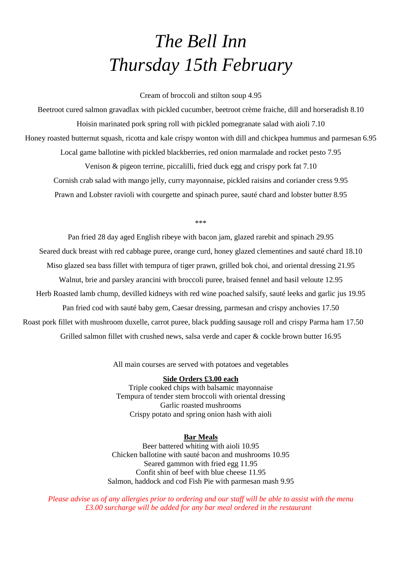## *The Bell Inn Thursday 15th February*

Cream of broccoli and stilton soup 4.95

Beetroot cured salmon gravadlax with pickled cucumber, beetroot crème fraiche, dill and horseradish 8.10 Hoisin marinated pork spring roll with pickled pomegranate salad with aioli 7.10 Honey roasted butternut squash, ricotta and kale crispy wonton with dill and chickpea hummus and parmesan 6.95 Local game ballotine with pickled blackberries, red onion marmalade and rocket pesto 7.95 Venison & pigeon terrine, piccalilli, fried duck egg and crispy pork fat 7.10 Cornish crab salad with mango jelly, curry mayonnaise, pickled raisins and coriander cress 9.95 Prawn and Lobster ravioli with courgette and spinach puree, sauté chard and lobster butter 8.95

\*\*\*

Pan fried 28 day aged English ribeye with bacon jam, glazed rarebit and spinach 29.95 Seared duck breast with red cabbage puree, orange curd, honey glazed clementines and sauté chard 18.10 Miso glazed sea bass fillet with tempura of tiger prawn, grilled bok choi, and oriental dressing 21.95 Walnut, brie and parsley arancini with broccoli puree, braised fennel and basil veloute 12.95 Herb Roasted lamb chump, devilled kidneys with red wine poached salsify, sauté leeks and garlic jus 19.95 Pan fried cod with sauté baby gem, Caesar dressing, parmesan and crispy anchovies 17.50 Roast pork fillet with mushroom duxelle, carrot puree, black pudding sausage roll and crispy Parma ham 17.50 Grilled salmon fillet with crushed news, salsa verde and caper & cockle brown butter 16.95

All main courses are served with potatoes and vegetables

## **Side Orders £3.00 each**

Triple cooked chips with balsamic mayonnaise Tempura of tender stem broccoli with oriental dressing Garlic roasted mushrooms Crispy potato and spring onion hash with aioli

## **Bar Meals**

Beer battered whiting with aioli 10.95 Chicken ballotine with sauté bacon and mushrooms 10.95 Seared gammon with fried egg 11.95 Confit shin of beef with blue cheese 11.95 Salmon, haddock and cod Fish Pie with parmesan mash 9.95

*Please advise us of any allergies prior to ordering and our staff will be able to assist with the menu £3.00 surcharge will be added for any bar meal ordered in the restaurant*